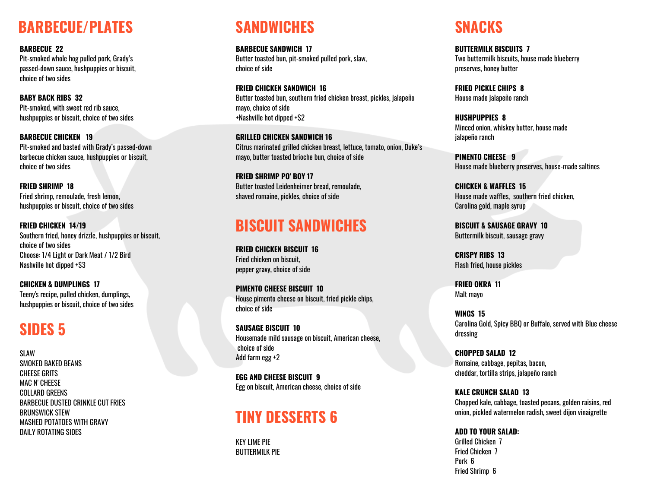### **BARBECUE/PLATES**

**BARBECUE 22** Pit-smoked whole hog pulled pork, Grady's passed-down sauce, hushpuppies or biscuit, choice of two sides

**BABY BACK RIBS 32** Pit-smoked, with sweet red rib sauce, hushpuppies or biscuit, choice of two sides

**BARBECUE CHICKEN 19** Pit-smoked and basted with Grady's passed-down barbecue chicken sauce, hushpuppies or biscuit, choice of two sides

**FRIED SHRIMP 18** Fried shrimp, remoulade, fresh lemon, hushpuppies or biscuit, choice of two sides

**FRIED CHICKEN 14/19** Southern fried, honey drizzle, hushpuppies or biscuit, choice of two sides Choose: 1/4 Light or Dark Meat / 1/2 Bird Nashville hot dipped +\$3

**CHICKEN & DUMPLINGS 17** Teeny's recipe, pulled chicken, dumplings, hushpuppies or biscuit, choice of two sides

#### **SIDES 5**

**SLAW** SMOKED BAKED BEANS CHEESE GRITS MAC N' CHEESE COLLARD GREENS BARBECUE DUSTED CRINKLE CUT FRIES BRUNSWICK STEW MASHED POTATOES WITH GRAVY DAILY ROTATING SIDES

## **SANDWICHES**

**BARBECUE SANDWICH 17** Butter toasted bun, pit-smoked pulled pork, slaw, choice of side

**FRIED CHICKEN SANDWICH 16** Butter toasted bun, southern fried chicken breast, pickles, jalapeño mayo, choice of side +Nashville hot dipped +\$2

**GRILLED CHICKEN SANDWICH 16** Citrus marinated grilled chicken breast, lettuce, tomato, onion, Duke's mayo, butter toasted brioche bun, choice of side

**FRIED SHRIMP PO' BOY 17** Butter toasted Leidenheimer bread, remoulade, shaved romaine, pickles, choice of side

#### **BISCUIT SANDWICHES**

**FRIED CHICKEN BISCUIT 16** Fried chicken on biscuit, pepper gravy, choice of side

**PIMENTO CHEESE BISCUIT 10** House pimento cheese on biscuit, fried pickle chips, choice of side

**SAUSAGE BISCUIT 10** Housemade mild sausage on biscuit, American cheese, choice of side Add farm egg +2

**EGG AND CHEESE BISCUIT 9** Egg on biscuit, American cheese, choice of side

#### **TINY DESSERTS 6**

KEY LIME PIE BUTTERMILK PIE

## **SNACKS**

**BUTTERMILK BISCUITS 7** Two buttermilk biscuits, house made blueberry preserves, honey butter

**FRIED PICKLE CHIPS 8** House made jalapeño ranch

**HUSHPUPPIES 8** Minced onion, whiskey butter, house made jalapeño ranch

**PIMENTO CHEESE 9** House made blueberry preserves, house-made saltines

**CHICKEN & WAFFLES 15** House made waffles, southern fried chicken, Carolina gold, maple syrup

**BISCUIT & SAUSAGE GRAVY 10** Buttermilk biscuit, sausage gravy

**CRISPY RIBS 13** Flash fried, house pickles

**FRIED OKRA 11** Malt mayo

**WINGS 15** Carolina Gold, Spicy BBQ or Buffalo, served with Blue cheese dressing

**CHOPPED SALAD 12** Romaine, cabbage, pepitas, bacon, cheddar, tortilla strips, jalapeño ranch

**KALE CRUNCH SALAD 13** Chopped kale, cabbage, toasted pecans, golden raisins, red onion, pickled watermelon radish, sweet dijon vinaigrette

**ADD TO YOUR SALAD:** Grilled Chicken 7 Fried Chicken 7 Pork 6 Fried Shrimp 6